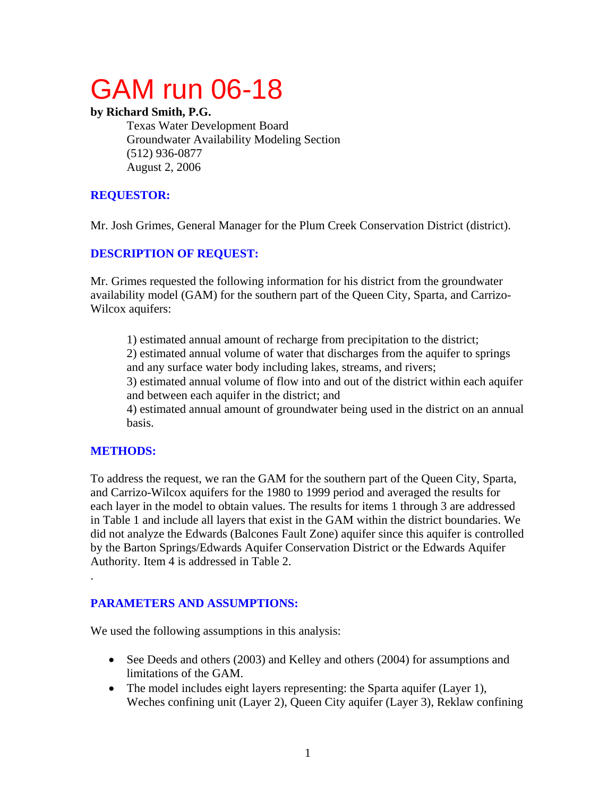# GAM run 06-18

#### **by Richard Smith, P.G.**

Texas Water Development Board Groundwater Availability Modeling Section (512) 936-0877 August 2, 2006

# **REQUESTOR:**

Mr. Josh Grimes, General Manager for the Plum Creek Conservation District (district).

# **DESCRIPTION OF REQUEST:**

Mr. Grimes requested the following information for his district from the groundwater availability model (GAM) for the southern part of the Queen City, Sparta, and Carrizo-Wilcox aquifers:

1) estimated annual amount of recharge from precipitation to the district; 2) estimated annual volume of water that discharges from the aquifer to springs

and any surface water body including lakes, streams, and rivers;

3) estimated annual volume of flow into and out of the district within each aquifer and between each aquifer in the district; and

4) estimated annual amount of groundwater being used in the district on an annual basis.

## **METHODS:**

.

To address the request, we ran the GAM for the southern part of the Queen City, Sparta, and Carrizo-Wilcox aquifers for the 1980 to 1999 period and averaged the results for each layer in the model to obtain values. The results for items 1 through 3 are addressed in Table 1 and include all layers that exist in the GAM within the district boundaries. We did not analyze the Edwards (Balcones Fault Zone) aquifer since this aquifer is controlled by the Barton Springs/Edwards Aquifer Conservation District or the Edwards Aquifer Authority. Item 4 is addressed in Table 2.

## **PARAMETERS AND ASSUMPTIONS:**

We used the following assumptions in this analysis:

- See Deeds and others (2003) and Kelley and others (2004) for assumptions and limitations of the GAM.
- The model includes eight layers representing: the Sparta aquifer (Layer 1), Weches confining unit (Layer 2), Queen City aquifer (Layer 3), Reklaw confining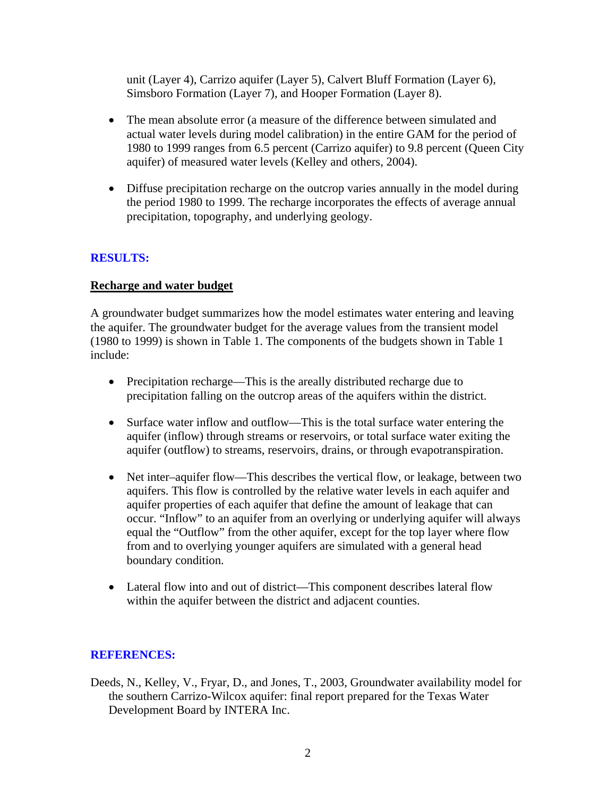unit (Layer 4), Carrizo aquifer (Layer 5), Calvert Bluff Formation (Layer 6), Simsboro Formation (Layer 7), and Hooper Formation (Layer 8).

- The mean absolute error (a measure of the difference between simulated and actual water levels during model calibration) in the entire GAM for the period of 1980 to 1999 ranges from 6.5 percent (Carrizo aquifer) to 9.8 percent (Queen City aquifer) of measured water levels (Kelley and others, 2004).
- Diffuse precipitation recharge on the outcrop varies annually in the model during the period 1980 to 1999. The recharge incorporates the effects of average annual precipitation, topography, and underlying geology.

#### **RESULTS:**

#### **Recharge and water budget**

A groundwater budget summarizes how the model estimates water entering and leaving the aquifer. The groundwater budget for the average values from the transient model (1980 to 1999) is shown in Table 1. The components of the budgets shown in Table 1 include:

- Precipitation recharge—This is the areally distributed recharge due to precipitation falling on the outcrop areas of the aquifers within the district.
- Surface water inflow and outflow—This is the total surface water entering the aquifer (inflow) through streams or reservoirs, or total surface water exiting the aquifer (outflow) to streams, reservoirs, drains, or through evapotranspiration.
- Net inter–aquifer flow—This describes the vertical flow, or leakage, between two aquifers. This flow is controlled by the relative water levels in each aquifer and aquifer properties of each aquifer that define the amount of leakage that can occur. "Inflow" to an aquifer from an overlying or underlying aquifer will always equal the "Outflow" from the other aquifer, except for the top layer where flow from and to overlying younger aquifers are simulated with a general head boundary condition.
- Lateral flow into and out of district—This component describes lateral flow within the aquifer between the district and adjacent counties.

## **REFERENCES:**

Deeds, N., Kelley, V., Fryar, D., and Jones, T., 2003, Groundwater availability model for the southern Carrizo-Wilcox aquifer: final report prepared for the Texas Water Development Board by INTERA Inc.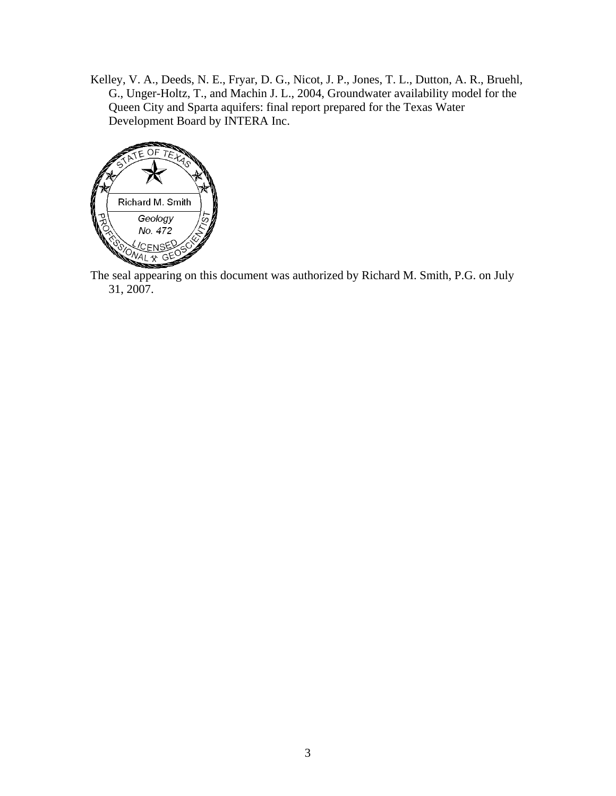Kelley, V. A., Deeds, N. E., Fryar, D. G., Nicot, J. P., Jones, T. L., Dutton, A. R., Bruehl, G., Unger-Holtz, T., and Machin J. L., 2004, Groundwater availability model for the Queen City and Sparta aquifers: final report prepared for the Texas Water Development Board by INTERA Inc.



The seal appearing on this document was authorized by Richard M. Smith, P.G. on July 31, 2007.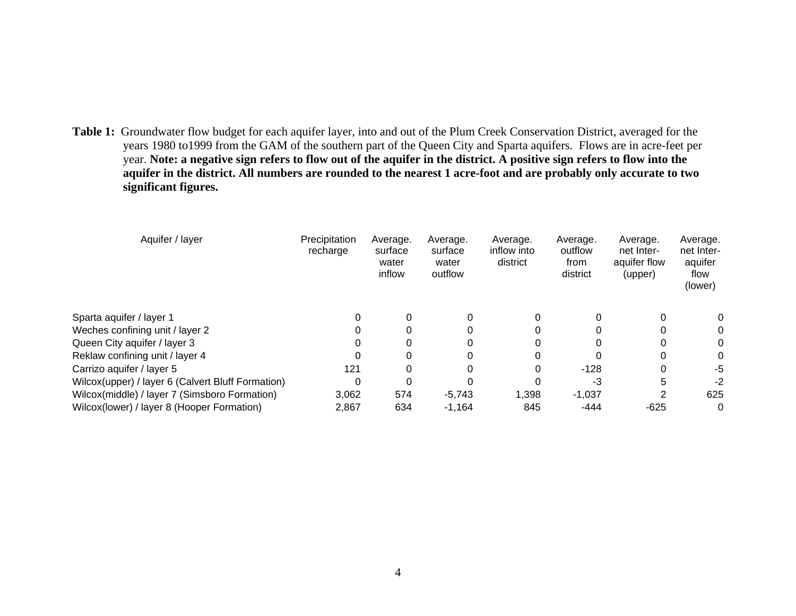**Table 1:** Groundwater flow budget for each aquifer layer, into and out of the Plum Creek Conservation District, averaged for the years 1980 to1999 from the GAM of the southern part of the Queen City and Sparta aquifers. Flows are in acre-feet per year. **Note: a negative sign refers to flow out of the aquifer in the district. A positive sign refers to flow into the aquifer in the district. All numbers are rounded to the nearest 1 acre-foot and are probably only accurate to two significant figures.** 

| Precipitation<br>recharge | Average.<br>surface<br>water<br>inflow | Average.<br>surface<br>water<br>outflow | Average.<br>inflow into<br>district | Average.<br>outflow<br>from<br>district | Average.<br>net Inter-<br>aquifer flow<br>(upper) | Average.<br>net Inter-<br>aquifer<br>flow<br>(lower) |
|---------------------------|----------------------------------------|-----------------------------------------|-------------------------------------|-----------------------------------------|---------------------------------------------------|------------------------------------------------------|
| 0                         | 0                                      |                                         |                                     |                                         | 0                                                 | 0                                                    |
| 0                         | 0                                      |                                         |                                     |                                         | $\Omega$                                          | 0                                                    |
|                           | 0                                      |                                         |                                     |                                         | 0                                                 | 0                                                    |
|                           | 0                                      |                                         |                                     |                                         | 0                                                 | 0                                                    |
| 121                       | 0                                      |                                         |                                     | $-128$                                  | 0                                                 | -5                                                   |
| 0                         |                                        |                                         |                                     | -3                                      |                                                   | $-2$                                                 |
| 3.062                     | 574                                    | $-5,743$                                | 1,398                               | $-1,037$                                |                                                   | 625                                                  |
| 2,867                     | 634                                    | $-1,164$                                | 845                                 | -444                                    | $-625$                                            | 0                                                    |
|                           |                                        |                                         |                                     |                                         |                                                   |                                                      |